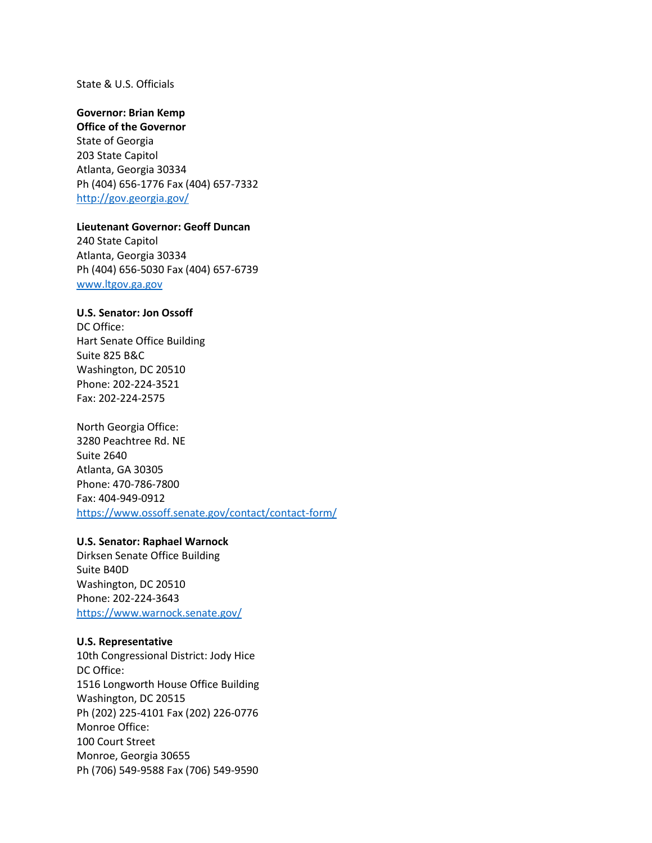#### State & U.S. Officials

#### **Governor: Brian Kemp**

**Office of the Governor** State of Georgia 203 State Capitol Atlanta, Georgia 30334 Ph (404) 656-1776 Fax (404) 657-7332 <http://gov.georgia.gov/>

## **Lieutenant Governor: Geoff Duncan**

240 State Capitol Atlanta, Georgia 30334 Ph (404) 656-5030 Fax (404) 657-6739 [www.ltgov.ga.gov](http://www.ltgov.ga.gov/)

### **U.S. Senator: Jon Ossoff**

DC Office: Hart Senate Office Building Suite 825 B&C Washington, DC 20510 Phone: 202-224-3521 Fax: 202-224-2575

#### North Georgia Office:

3280 Peachtree Rd. NE Suite 2640 Atlanta, GA 30305 Phone: 470-786-7800 Fax: 404-949-0912 <https://www.ossoff.senate.gov/contact/contact-form/>

### **U.S. Senator: Raphael Warnock**

Dirksen Senate Office Building Suite B40D Washington, DC 20510 Phone: 202-224-3643 <https://www.warnock.senate.gov/>

### **U.S. Representative**

10th Congressional District: Jody Hice DC Office: 1516 Longworth House Office Building Washington, DC 20515 Ph (202) 225-4101 Fax (202) 226-0776 Monroe Office: 100 Court Street Monroe, Georgia 30655 Ph (706) 549-9588 Fax (706) 549-9590